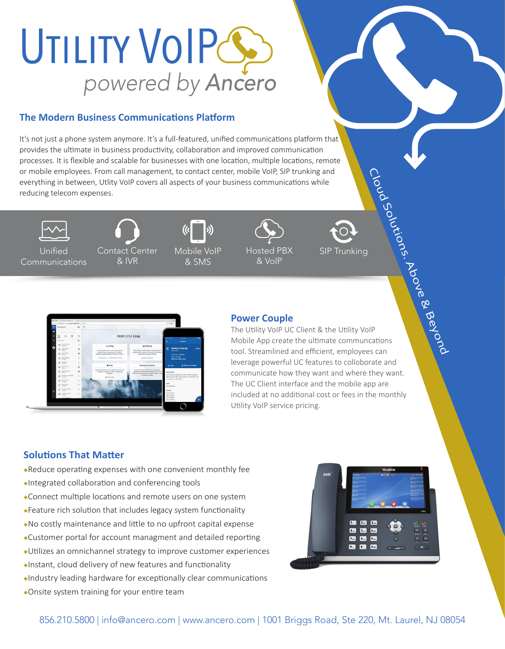# UTILITY VOIPG *powered by Ancero*

### **The Modern Business Communications Platform**

It's not just a phone system anymore. It's a full-featured, unified communications platform that provides the ultimate in business productivity, collaboration and improved communication processes. It is flexible and scalable for businesses with one location, multiple locations, remote or mobile employees. From call management, to contact center, mobile VoIP, SIP trunking and everything in between, Utlity VoIP covers all aspects of your business communications while reducing telecom expenses.



Unified Communications



& IVR

Mobile VoIP & SMS



& VoIP

Hosted PBX

SIP Trunking



### **Power Couple**

The Utility VoIP UC Client & the Utility VoIP Mobile App create the ultimate communcations tool. Streamlined and efficient, employees can leverage powerful UC features to colloborate and communicate how they want and where they want. The UC Client interface and the mobile app are included at no additional cost or fees in the monthly Utility VoIP service pricing. Cloud Solutions. Above & Beyond

### **Solutions That Matter**

- Reduce operating expenses with one convenient monthly fee
- Integrated collaboration and conferencing tools
- Connect multiple locations and remote users on one system
- Feature rich solution that includes legacy system functionality
- No costly maintenance and little to no upfront capital expense
- Customer portal for account managment and detailed reporting
- Utilizes an omnichannel strategy to improve customer experiences
- Instant, cloud delivery of new features and functionality
- Industry leading hardware for exceptionally clear communications
- Onsite system training for your entire team